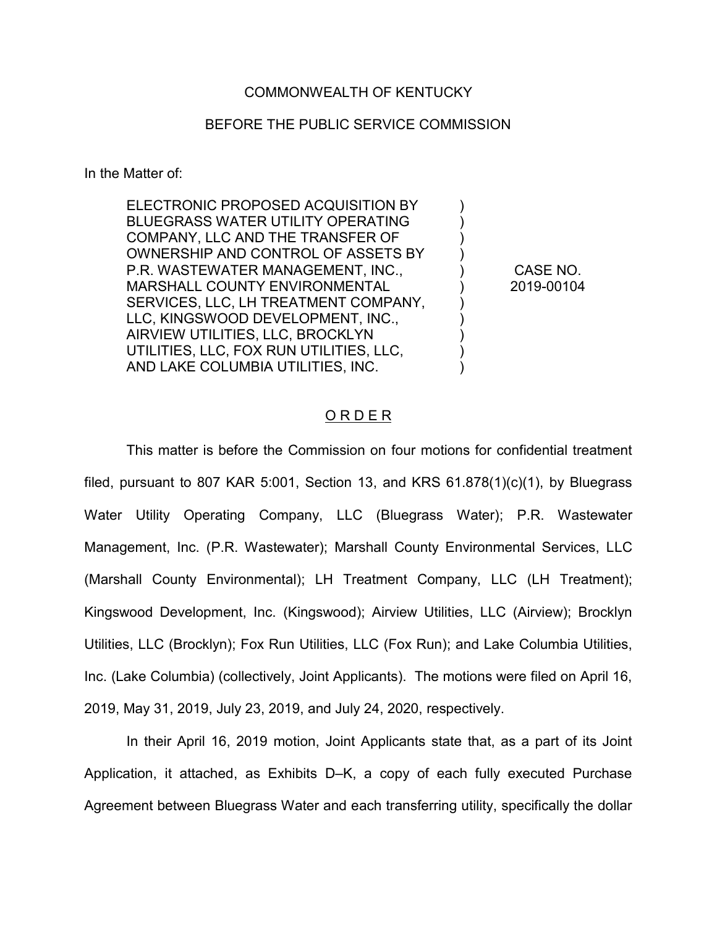## COMMONWEALTH OF KENTUCKY

## BEFORE THE PUBLIC SERVICE COMMISSION

In the Matter of:

ELECTRONIC PROPOSED ACQUISITION BY BLUEGRASS WATER UTILITY OPERATING COMPANY, LLC AND THE TRANSFER OF OWNERSHIP AND CONTROL OF ASSETS BY P.R. WASTEWATER MANAGEMENT, INC., MARSHALL COUNTY ENVIRONMENTAL SERVICES, LLC, LH TREATMENT COMPANY, LLC, KINGSWOOD DEVELOPMENT, INC., AIRVIEW UTILITIES, LLC, BROCKLYN UTILITIES, LLC, FOX RUN UTILITIES, LLC, AND LAKE COLUMBIA UTILITIES, INC. ) ) )  $\lambda$ ) ) ) )

CASE NO. 2019-00104

)

) )

## O R D E R

This matter is before the Commission on four motions for confidential treatment filed, pursuant to 807 KAR 5:001, Section 13, and KRS 61.878(1)(c)(1), by Bluegrass Water Utility Operating Company, LLC (Bluegrass Water); P.R. Wastewater Management, Inc. (P.R. Wastewater); Marshall County Environmental Services, LLC (Marshall County Environmental); LH Treatment Company, LLC (LH Treatment); Kingswood Development, Inc. (Kingswood); Airview Utilities, LLC (Airview); Brocklyn Utilities, LLC (Brocklyn); Fox Run Utilities, LLC (Fox Run); and Lake Columbia Utilities, Inc. (Lake Columbia) (collectively, Joint Applicants). The motions were filed on April 16, 2019, May 31, 2019, July 23, 2019, and July 24, 2020, respectively.

In their April 16, 2019 motion, Joint Applicants state that, as a part of its Joint Application, it attached, as Exhibits D–K, a copy of each fully executed Purchase Agreement between Bluegrass Water and each transferring utility, specifically the dollar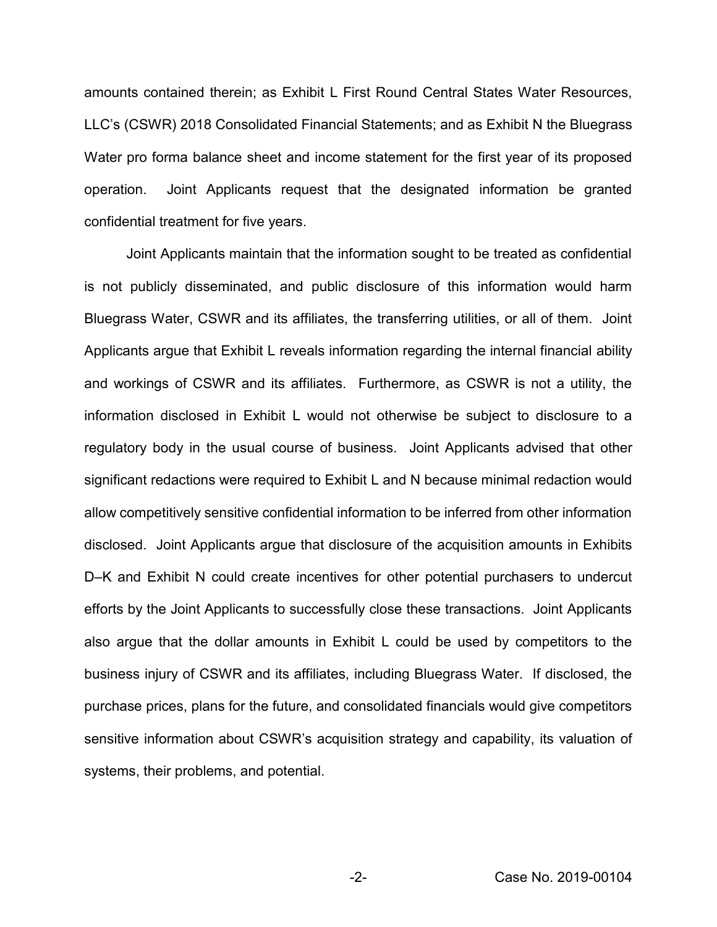amounts contained therein; as Exhibit L First Round Central States Water Resources, LLC's (CSWR) 2018 Consolidated Financial Statements; and as Exhibit N the Bluegrass Water pro forma balance sheet and income statement for the first year of its proposed operation. Joint Applicants request that the designated information be granted confidential treatment for five years.

Joint Applicants maintain that the information sought to be treated as confidential is not publicly disseminated, and public disclosure of this information would harm Bluegrass Water, CSWR and its affiliates, the transferring utilities, or all of them. Joint Applicants argue that Exhibit L reveals information regarding the internal financial ability and workings of CSWR and its affiliates. Furthermore, as CSWR is not a utility, the information disclosed in Exhibit L would not otherwise be subject to disclosure to a regulatory body in the usual course of business. Joint Applicants advised that other significant redactions were required to Exhibit L and N because minimal redaction would allow competitively sensitive confidential information to be inferred from other information disclosed. Joint Applicants argue that disclosure of the acquisition amounts in Exhibits D–K and Exhibit N could create incentives for other potential purchasers to undercut efforts by the Joint Applicants to successfully close these transactions. Joint Applicants also argue that the dollar amounts in Exhibit L could be used by competitors to the business injury of CSWR and its affiliates, including Bluegrass Water. If disclosed, the purchase prices, plans for the future, and consolidated financials would give competitors sensitive information about CSWR's acquisition strategy and capability, its valuation of systems, their problems, and potential.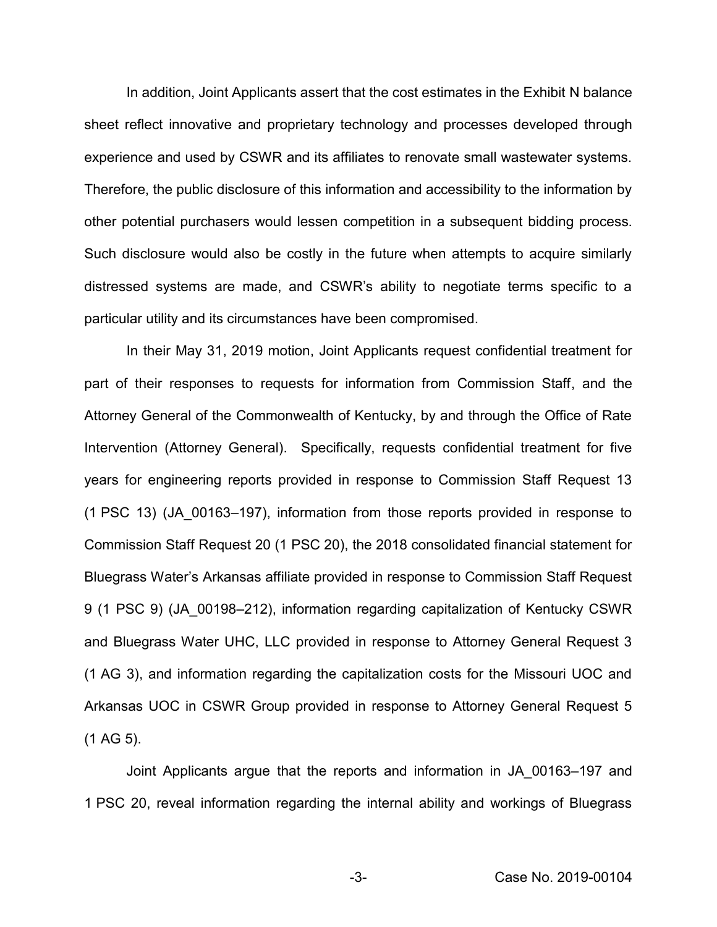In addition, Joint Applicants assert that the cost estimates in the Exhibit N balance sheet reflect innovative and proprietary technology and processes developed through experience and used by CSWR and its affiliates to renovate small wastewater systems. Therefore, the public disclosure of this information and accessibility to the information by other potential purchasers would lessen competition in a subsequent bidding process. Such disclosure would also be costly in the future when attempts to acquire similarly distressed systems are made, and CSWR's ability to negotiate terms specific to a particular utility and its circumstances have been compromised.

In their May 31, 2019 motion, Joint Applicants request confidential treatment for part of their responses to requests for information from Commission Staff, and the Attorney General of the Commonwealth of Kentucky, by and through the Office of Rate Intervention (Attorney General). Specifically, requests confidential treatment for five years for engineering reports provided in response to Commission Staff Request 13 (1 PSC 13) (JA\_00163–197), information from those reports provided in response to Commission Staff Request 20 (1 PSC 20), the 2018 consolidated financial statement for Bluegrass Water's Arkansas affiliate provided in response to Commission Staff Request 9 (1 PSC 9) (JA\_00198–212), information regarding capitalization of Kentucky CSWR and Bluegrass Water UHC, LLC provided in response to Attorney General Request 3 (1 AG 3), and information regarding the capitalization costs for the Missouri UOC and Arkansas UOC in CSWR Group provided in response to Attorney General Request 5 (1 AG 5).

Joint Applicants argue that the reports and information in JA\_00163–197 and 1 PSC 20, reveal information regarding the internal ability and workings of Bluegrass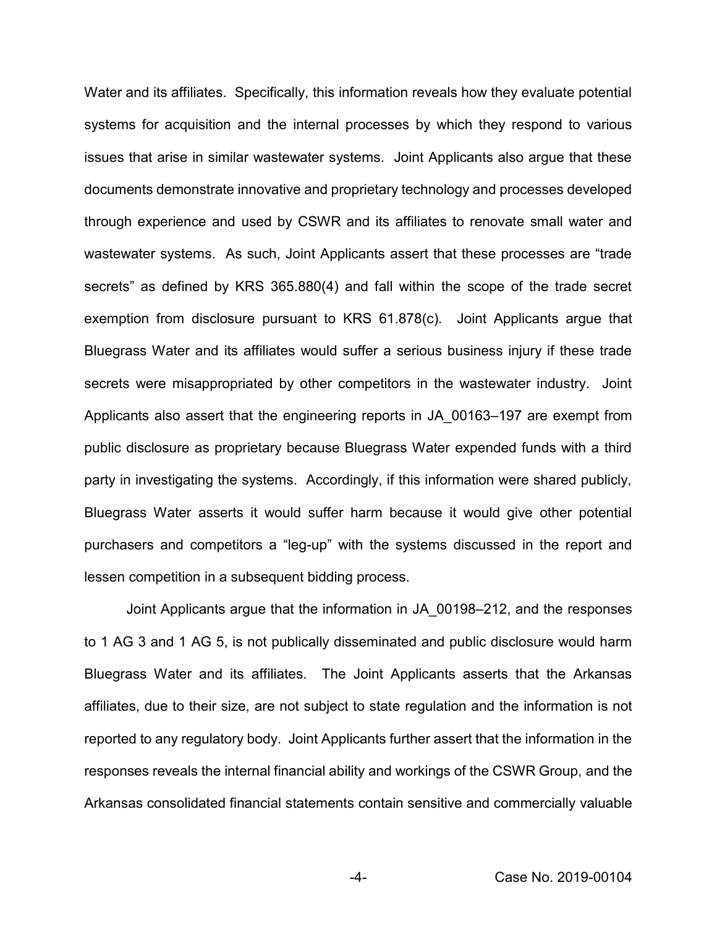Water and its affiliates. Specifically, this information reveals how they evaluate potential systems for acquisition and the internal processes by which they respond to various issues that arise in similar wastewater systems. Joint Applicants also argue that these documents demonstrate innovative and proprietary technology and processes developed through experience and used by CSWR and its affiliates to renovate small water and wastewater systems. As such, Joint Applicants assert that these processes are "trade secrets" as defined by KRS 365.880(4) and fall within the scope of the trade secret exemption from disclosure pursuant to KRS 61.878(c). Joint Applicants argue that Bluegrass Water and its affiliates would suffer a serious business injury if these trade secrets were misappropriated by other competitors in the wastewater industry. Joint Applicants also assert that the engineering reports in JA\_00163–197 are exempt from public disclosure as proprietary because Bluegrass Water expended funds with a third party in investigating the systems. Accordingly, if this information were shared publicly, Bluegrass Water asserts it would suffer harm because it would give other potential purchasers and competitors a "leg-up" with the systems discussed in the report and lessen competition in a subsequent bidding process.

Joint Applicants argue that the information in JA\_00198–212, and the responses to 1 AG 3 and 1 AG 5, is not publically disseminated and public disclosure would harm Bluegrass Water and its affiliates. The Joint Applicants asserts that the Arkansas affiliates, due to their size, are not subject to state regulation and the information is not reported to any regulatory body. Joint Applicants further assert that the information in the responses reveals the internal financial ability and workings of the CSWR Group, and the Arkansas consolidated financial statements contain sensitive and commercially valuable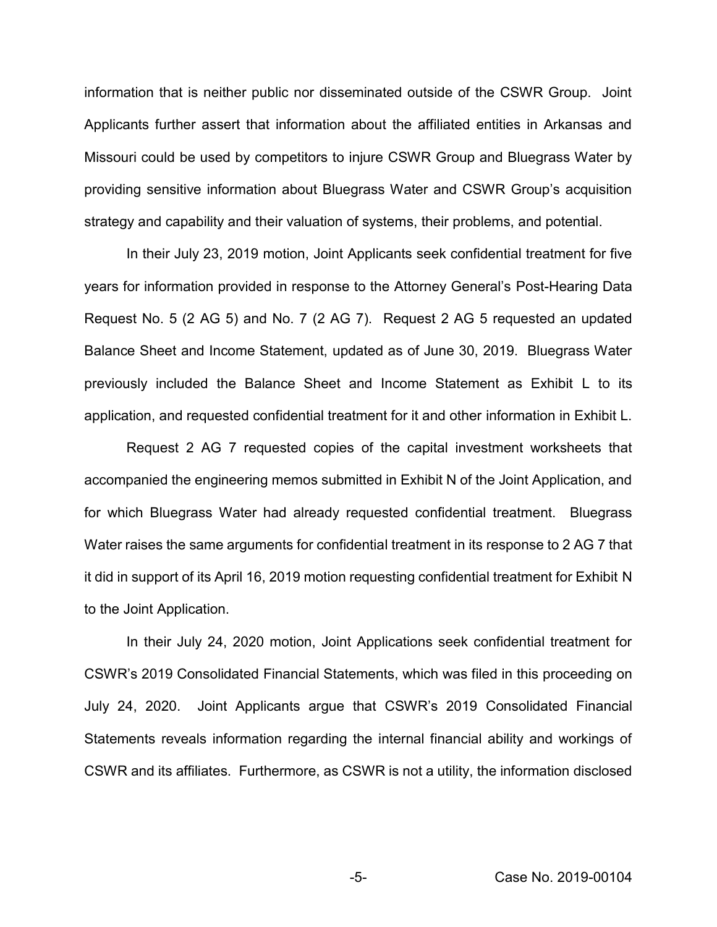information that is neither public nor disseminated outside of the CSWR Group. Joint Applicants further assert that information about the affiliated entities in Arkansas and Missouri could be used by competitors to injure CSWR Group and Bluegrass Water by providing sensitive information about Bluegrass Water and CSWR Group's acquisition strategy and capability and their valuation of systems, their problems, and potential.

In their July 23, 2019 motion, Joint Applicants seek confidential treatment for five years for information provided in response to the Attorney General's Post-Hearing Data Request No. 5 (2 AG 5) and No. 7 (2 AG 7). Request 2 AG 5 requested an updated Balance Sheet and Income Statement, updated as of June 30, 2019. Bluegrass Water previously included the Balance Sheet and Income Statement as Exhibit L to its application, and requested confidential treatment for it and other information in Exhibit L.

Request 2 AG 7 requested copies of the capital investment worksheets that accompanied the engineering memos submitted in Exhibit N of the Joint Application, and for which Bluegrass Water had already requested confidential treatment. Bluegrass Water raises the same arguments for confidential treatment in its response to 2 AG 7 that it did in support of its April 16, 2019 motion requesting confidential treatment for Exhibit N to the Joint Application.

In their July 24, 2020 motion, Joint Applications seek confidential treatment for CSWR's 2019 Consolidated Financial Statements, which was filed in this proceeding on July 24, 2020. Joint Applicants argue that CSWR's 2019 Consolidated Financial Statements reveals information regarding the internal financial ability and workings of CSWR and its affiliates. Furthermore, as CSWR is not a utility, the information disclosed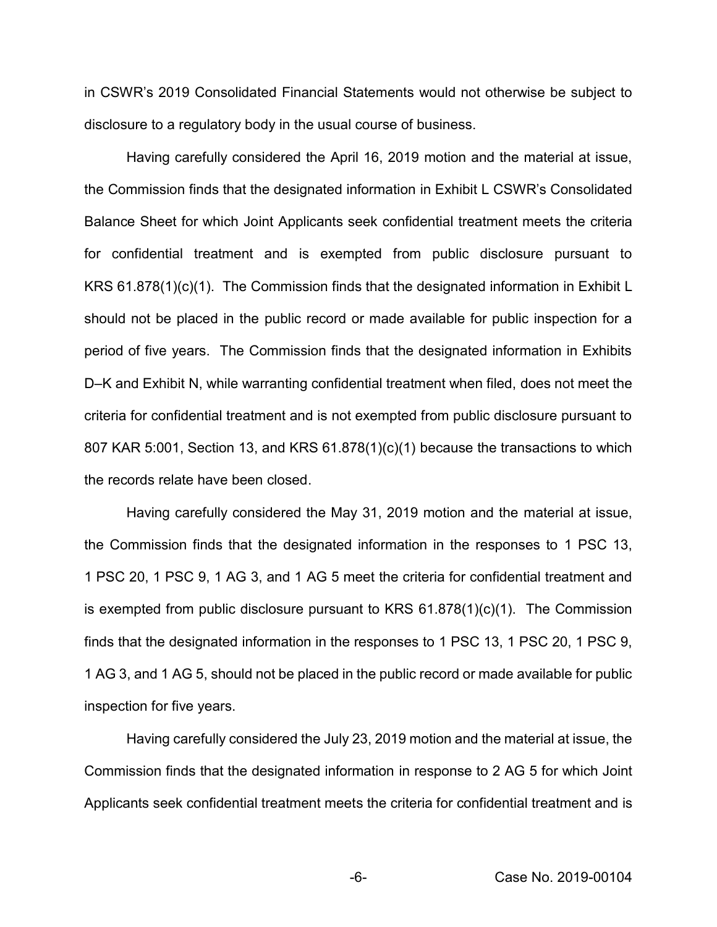in CSWR's 2019 Consolidated Financial Statements would not otherwise be subject to disclosure to a regulatory body in the usual course of business.

Having carefully considered the April 16, 2019 motion and the material at issue, the Commission finds that the designated information in Exhibit L CSWR's Consolidated Balance Sheet for which Joint Applicants seek confidential treatment meets the criteria for confidential treatment and is exempted from public disclosure pursuant to KRS 61.878(1)(c)(1). The Commission finds that the designated information in Exhibit L should not be placed in the public record or made available for public inspection for a period of five years. The Commission finds that the designated information in Exhibits D–K and Exhibit N, while warranting confidential treatment when filed, does not meet the criteria for confidential treatment and is not exempted from public disclosure pursuant to 807 KAR 5:001, Section 13, and KRS 61.878(1)(c)(1) because the transactions to which the records relate have been closed.

Having carefully considered the May 31, 2019 motion and the material at issue, the Commission finds that the designated information in the responses to 1 PSC 13, 1 PSC 20, 1 PSC 9, 1 AG 3, and 1 AG 5 meet the criteria for confidential treatment and is exempted from public disclosure pursuant to KRS 61.878(1)(c)(1). The Commission finds that the designated information in the responses to 1 PSC 13, 1 PSC 20, 1 PSC 9, 1 AG 3, and 1 AG 5, should not be placed in the public record or made available for public inspection for five years.

Having carefully considered the July 23, 2019 motion and the material at issue, the Commission finds that the designated information in response to 2 AG 5 for which Joint Applicants seek confidential treatment meets the criteria for confidential treatment and is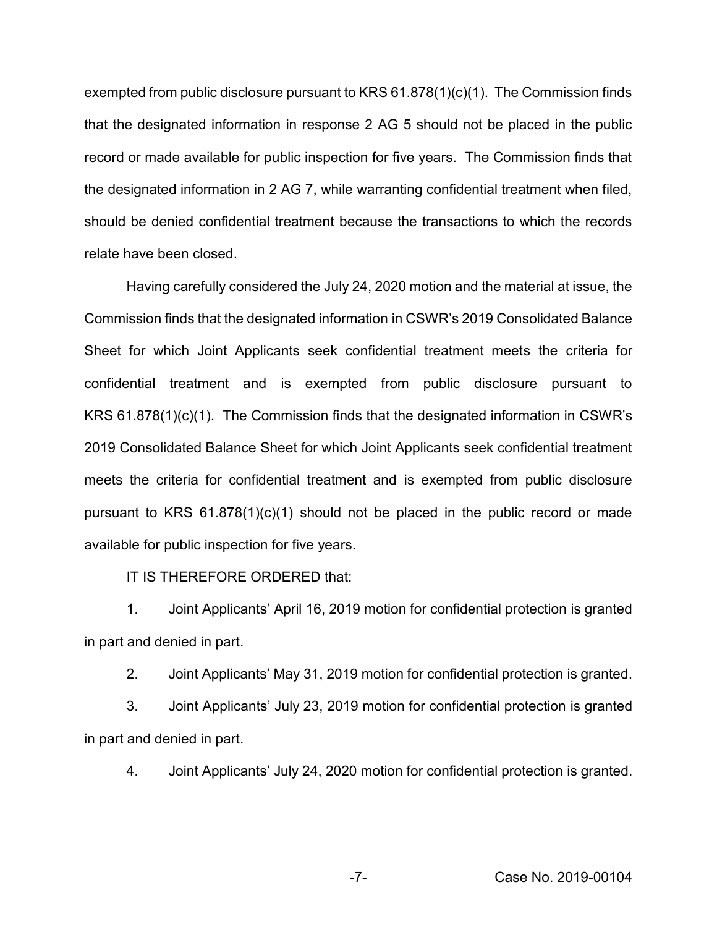exempted from public disclosure pursuant to KRS 61.878(1)(c)(1). The Commission finds that the designated information in response 2 AG 5 should not be placed in the public record or made available for public inspection for five years. The Commission finds that the designated information in 2 AG 7, while warranting confidential treatment when filed, should be denied confidential treatment because the transactions to which the records relate have been closed.

Having carefully considered the July 24, 2020 motion and the material at issue, the Commission finds that the designated information in CSWR's 2019 Consolidated Balance Sheet for which Joint Applicants seek confidential treatment meets the criteria for confidential treatment and is exempted from public disclosure pursuant to KRS 61.878(1)(c)(1). The Commission finds that the designated information in CSWR's 2019 Consolidated Balance Sheet for which Joint Applicants seek confidential treatment meets the criteria for confidential treatment and is exempted from public disclosure pursuant to KRS 61.878(1)(c)(1) should not be placed in the public record or made available for public inspection for five years.

IT IS THEREFORE ORDERED that:

1. Joint Applicants' April 16, 2019 motion for confidential protection is granted in part and denied in part.

2. Joint Applicants' May 31, 2019 motion for confidential protection is granted.

3. Joint Applicants' July 23, 2019 motion for confidential protection is granted in part and denied in part.

4. Joint Applicants' July 24, 2020 motion for confidential protection is granted.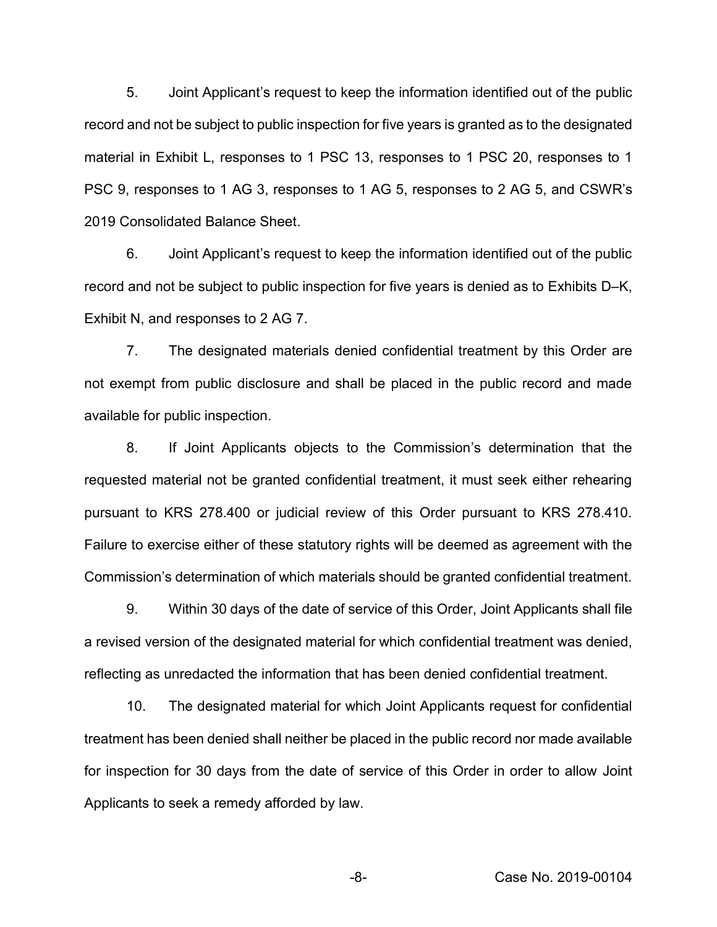5. Joint Applicant's request to keep the information identified out of the public record and not be subject to public inspection for five years is granted as to the designated material in Exhibit L, responses to 1 PSC 13, responses to 1 PSC 20, responses to 1 PSC 9, responses to 1 AG 3, responses to 1 AG 5, responses to 2 AG 5, and CSWR's 2019 Consolidated Balance Sheet.

6. Joint Applicant's request to keep the information identified out of the public record and not be subject to public inspection for five years is denied as to Exhibits D–K, Exhibit N, and responses to 2 AG 7.

7. The designated materials denied confidential treatment by this Order are not exempt from public disclosure and shall be placed in the public record and made available for public inspection.

8. If Joint Applicants objects to the Commission's determination that the requested material not be granted confidential treatment, it must seek either rehearing pursuant to KRS 278.400 or judicial review of this Order pursuant to KRS 278.410. Failure to exercise either of these statutory rights will be deemed as agreement with the Commission's determination of which materials should be granted confidential treatment.

9. Within 30 days of the date of service of this Order, Joint Applicants shall file a revised version of the designated material for which confidential treatment was denied, reflecting as unredacted the information that has been denied confidential treatment.

10. The designated material for which Joint Applicants request for confidential treatment has been denied shall neither be placed in the public record nor made available for inspection for 30 days from the date of service of this Order in order to allow Joint Applicants to seek a remedy afforded by law.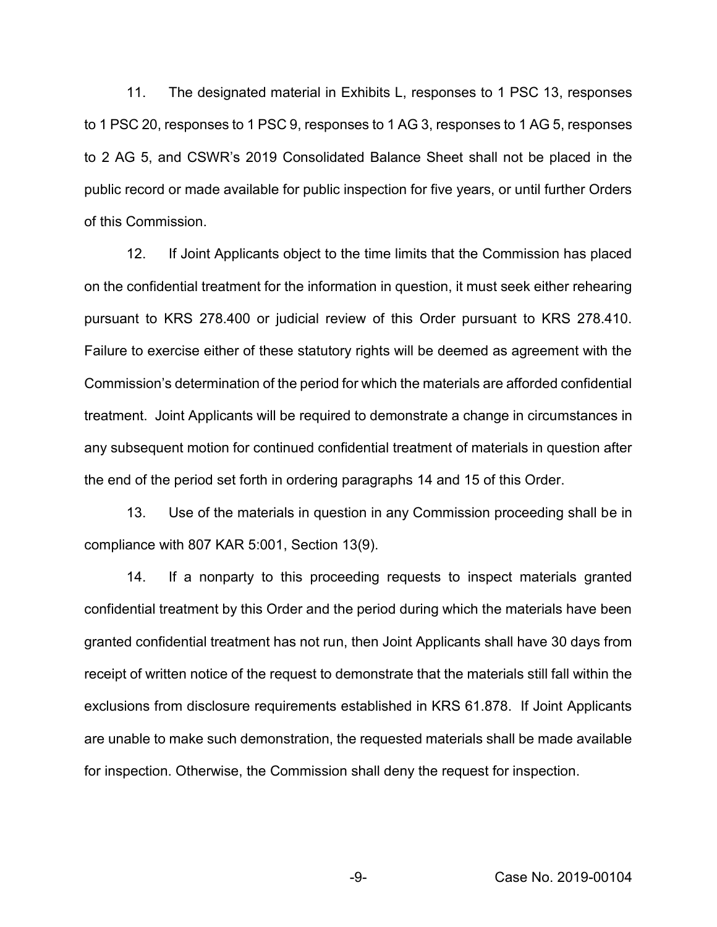11. The designated material in Exhibits L, responses to 1 PSC 13, responses to 1 PSC 20, responses to 1 PSC 9, responses to 1 AG 3, responses to 1 AG 5, responses to 2 AG 5, and CSWR's 2019 Consolidated Balance Sheet shall not be placed in the public record or made available for public inspection for five years, or until further Orders of this Commission.

12. If Joint Applicants object to the time limits that the Commission has placed on the confidential treatment for the information in question, it must seek either rehearing pursuant to KRS 278.400 or judicial review of this Order pursuant to KRS 278.410. Failure to exercise either of these statutory rights will be deemed as agreement with the Commission's determination of the period for which the materials are afforded confidential treatment. Joint Applicants will be required to demonstrate a change in circumstances in any subsequent motion for continued confidential treatment of materials in question after the end of the period set forth in ordering paragraphs 14 and 15 of this Order.

13. Use of the materials in question in any Commission proceeding shall be in compliance with 807 KAR 5:001, Section 13(9).

14. If a nonparty to this proceeding requests to inspect materials granted confidential treatment by this Order and the period during which the materials have been granted confidential treatment has not run, then Joint Applicants shall have 30 days from receipt of written notice of the request to demonstrate that the materials still fall within the exclusions from disclosure requirements established in KRS 61.878. If Joint Applicants are unable to make such demonstration, the requested materials shall be made available for inspection. Otherwise, the Commission shall deny the request for inspection.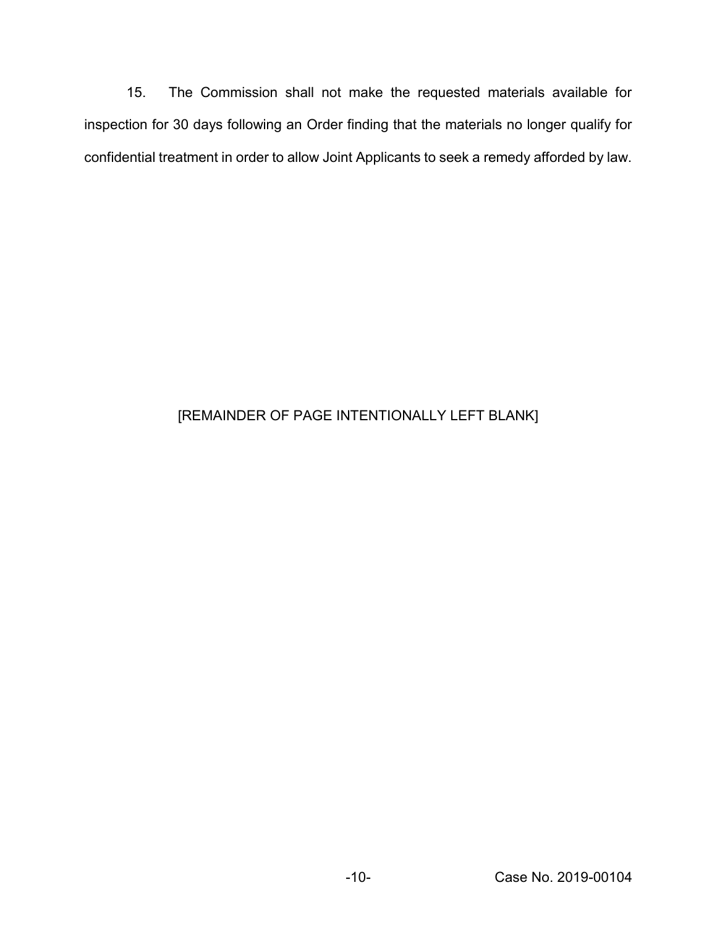15. The Commission shall not make the requested materials available for inspection for 30 days following an Order finding that the materials no longer qualify for confidential treatment in order to allow Joint Applicants to seek a remedy afforded by law.

## [REMAINDER OF PAGE INTENTIONALLY LEFT BLANK]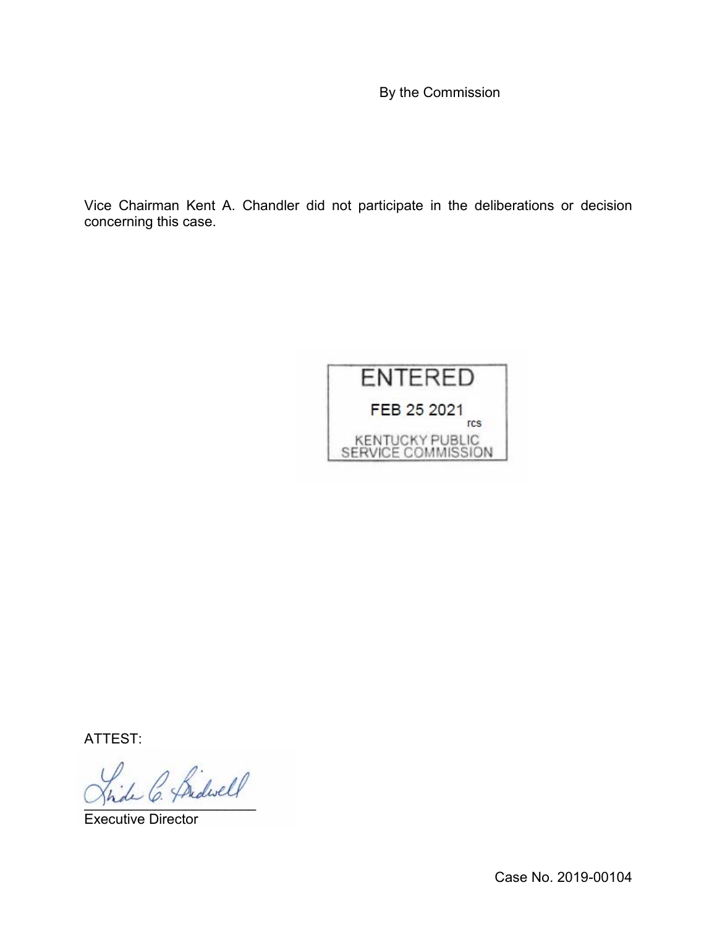By the Commission

Vice Chairman Kent A. Chandler did not participate in the deliberations or decision concerning this case.



ATTEST:

1 C. fridwell

Executive Director